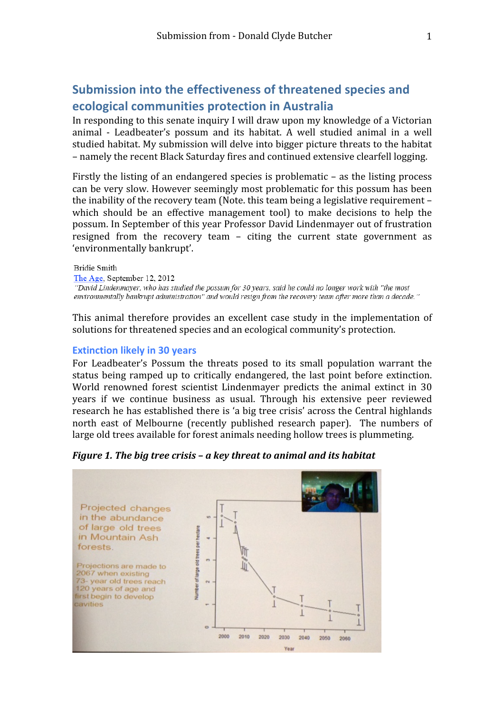# **Submission into the effectiveness of threatened species and ecological communities protection in Australia**

In responding to this senate inquiry I will draw upon my knowledge of a Victorian animal ‐ Leadbeater's possum and its habitat. A well studied animal in a well studied habitat. My submission will delve into bigger picture threats to the habitat – namely the recent Black Saturday fires and continued extensive clearfell logging.

Firstly the listing of an endangered species is problematic – as the listing process can be very slow. However seemingly most problematic for this possum has been the inability of the recovery team (Note. this team being a legislative requirement – which should be an effective management tool) to make decisions to help the possum. In September of this year Professor David Lindenmayer out of frustration resigned from the recovery team – citing the current state government as 'environmentally bankrupt'.

#### **Bridie Smith**

The Age, September 12, 2012 "David Lindenmayer, who has studied the possum for 30 years, said he could no longer work with "the most environmentally bankrupt administration" and would resign from the recovery team after more than a decade."

This animal therefore provides an excellent case study in the implementation of solutions for threatened species and an ecological community's protection.

#### **Extinction likely in 30 years**

For Leadbeater's Possum the threats posed to its small population warrant the status being ramped up to critically endangered, the last point before extinction. World renowned forest scientist Lindenmayer predicts the animal extinct in 30 years if we continue business as usual. Through his extensive peer reviewed research he has established there is 'a big tree crisis' across the Central highlands north east of Melbourne (recently published research paper). The numbers of large old trees available for forest animals needing hollow trees is plummeting.



*Figure 1. The big tree crisis – a key threat to animal and its habitat*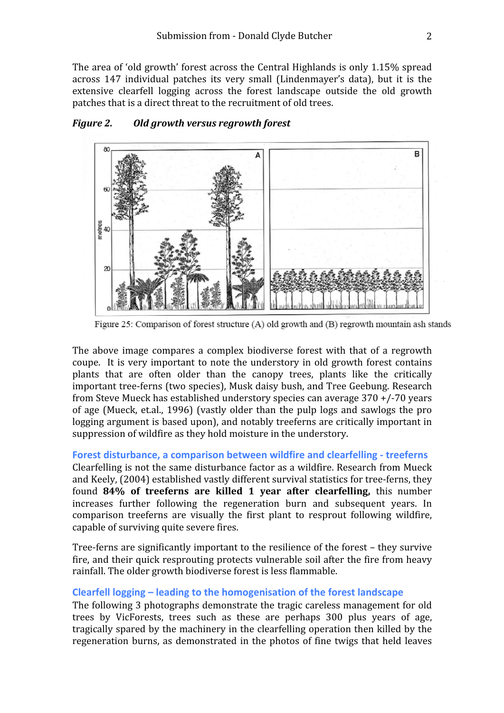The area of 'old growth' forest across the Central Highlands is only 1.15% spread across 147 individual patches its very small (Lindenmayer's data), but it is the extensive clearfell logging across the forest landscape outside the old growth patches that is a direct threat to the recruitment of old trees.



## *Figure 2. Old growth versus regrowth forest*

Figure 25: Comparison of forest structure (A) old growth and (B) regrowth mountain ash stands

The above image compares a complex biodiverse forest with that of a regrowth coupe. It is very important to note the understory in old growth forest contains plants that are often older than the canopy trees, plants like the critically important tree‐ferns (two species), Musk daisy bush, and Tree Geebung. Research from Steve Mueck has established understory species can average 370 +/‐70 years of age (Mueck, et.al., 1996) (vastly older than the pulp logs and sawlogs the pro logging argument is based upon), and notably treeferns are critically important in suppression of wildfire as they hold moisture in the understory.

## **Forest disturbance, a comparison between wildfire and clearfelling ‐ treeferns**

Clearfelling is not the same disturbance factor as a wildfire. Research from Mueck and Keely, (2004) established vastly different survival statistics for tree‐ferns, they found **84% of treeferns are killed 1 year after clearfelling,**  this number increases further following the regeneration burn and subsequent years. In comparison treeferns are visually the first plant to resprout following wildfire, capable of surviving quite severe fires.

Tree‐ferns are significantly important to the resilience of the forest – they survive fire, and their quick resprouting protects vulnerable soil after the fire from heavy rainfall. The older growth biodiverse forest is less flammable.

## **Clearfell logging – leading to the homogenisation of the forest landscape**

The following 3 photographs demonstrate the tragic careless management for old trees by VicForests, trees such as these are perhaps 300 plus years of age, tragically spared by the machinery in the clearfelling operation then killed by the regeneration burns, as demonstrated in the photos of fine twigs that held leaves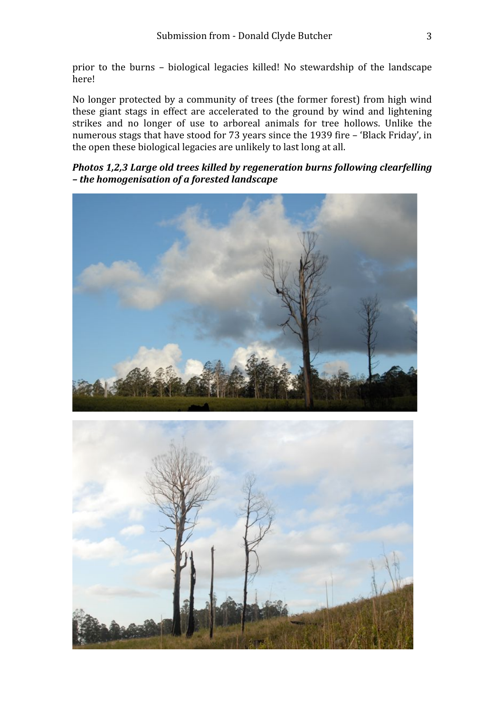prior to the burns – biological legacies killed! No stewardship of the landscape here!

No longer protected by a community of trees (the former forest) from high wind these giant stags in effect are accelerated to the ground by wind and lightening strikes and no longer of use to arboreal animals for tree hollows. Unlike the numerous stags that have stood for 73 years since the 1939 fire – 'Black Friday', in the open these biological legacies are unlikely to last long at all.

# *Photos 1,2,3 Large old trees killed by regeneration burns following clearfelling – the homogenisation of a forested landscape*



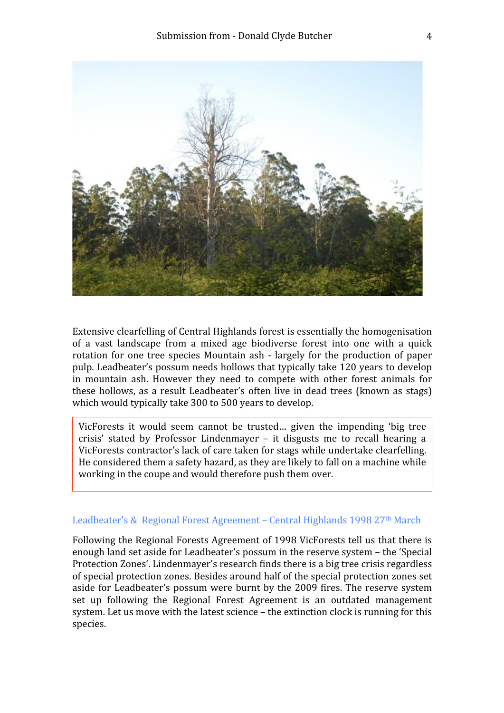

Extensive clearfelling of Central Highlands forest is essentially the homogenisation of a vast landscape from a mixed age biodiverse forest into one with a quick rotation for one tree species Mountain ash ‐ largely for the production of paper pulp. Leadbeater's possum needs hollows that typically take 120 years to develop in mountain ash. However they need to compete with other forest animals for these hollows, as a result Leadbeater's often live in dead trees (known as stags) which would typically take 300 to 500 years to develop.

VicForests it would seem cannot be trusted… given the impending 'big tree crisis' stated by Professor Lindenmayer – it disgusts me to recall hearing a VicForests contractor's lack of care taken for stags while undertake clearfelling. He considered them a safety hazard, as they are likely to fall on a machine while working in the coupe and would therefore push them over.

## Leadbeater's & Regional Forest Agreement – Central Highlands 1998 27<sup>th</sup> March

Following the Regional Forests Agreement of 1998 VicForests tell us that there is enough land set aside for Leadbeater's possum in the reserve system – the 'Special Protection Zones'. Lindenmayer's research finds there is a big tree crisis regardless of special protection zones. Besides around half of the special protection zones set aside for Leadbeater's possum were burnt by the 2009 fires. The reserve system set up following the Regional Forest Agreement is an outdated management system. Let us move with the latest science – the extinction clock is running for this species.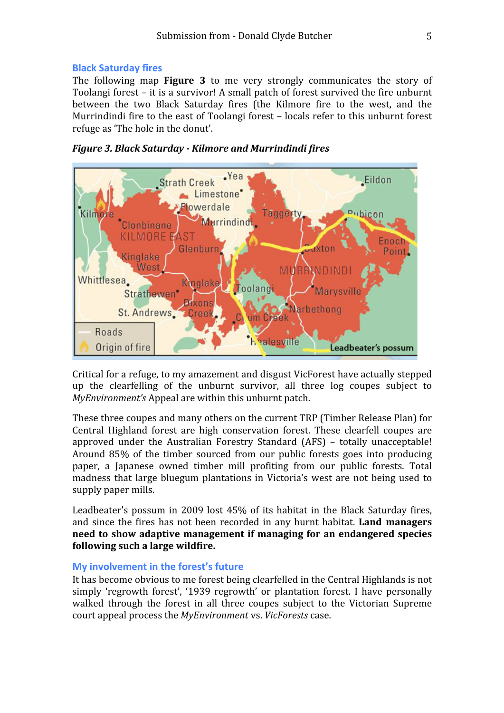#### **Black Saturday fires**

The following map **Figure 3** to me very strongly communicates the story of Toolangi forest – it is a survivor! A small patch of forest survived the fire unburnt between the two Black Saturday fires (the Kilmore fire to the west, and the Murrindindi fire to the east of Toolangi forest – locals refer to this unburnt forest refuge as 'The hole in the donut'.





Critical for a refuge, to my amazement and disgust VicForest have actually stepped up the clearfelling of the unburnt survivor, all three log coupes subject to *MyEnvironment's* Appeal are within this unburnt patch.

These three coupes and many others on the current TRP (Timber Release Plan) for Central Highland forest are high conservation forest. These clearfell coupes are approved under the Australian Forestry Standard (AFS) – totally unacceptable! Around 85% of the timber sourced from our public forests goes into producing paper, a Japanese owned timber mill profiting from our public forests. Total madness that large bluegum plantations in Victoria's west are not being used to supply paper mills.

Leadbeater's possum in 2009 lost 45% of its habitat in the Black Saturday fires, and since the fires has not been recorded in any burnt habitat. **Land managers need to show adaptive management if managing for an endangered species following such a large wildfire.**

#### **My involvement in the forest's future**

It has become obvious to me forest being clearfelled in the Central Highlands is not simply 'regrowth forest', '1939 regrowth' or plantation forest. I have personally walked through the forest in all three coupes subject to the Victorian Supreme court appeal process the *MyEnvironment* vs. *VicForests* case.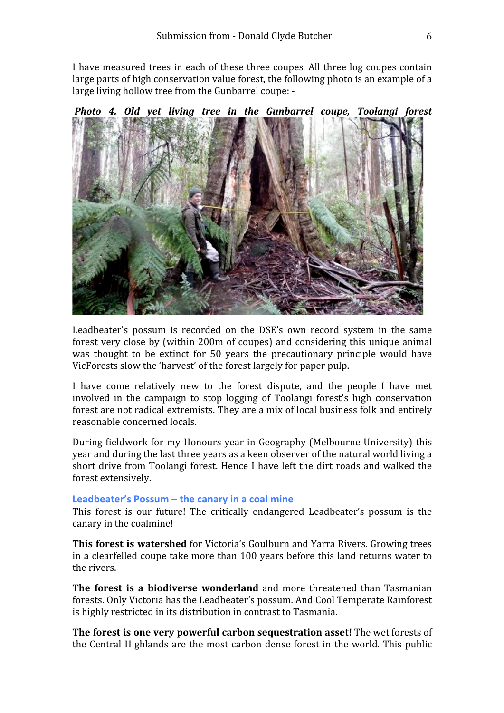I have measured trees in each of these three coupes*.* All three log coupes contain large parts of high conservation value forest, the following photo is an example of a large living hollow tree from the Gunbarrel coupe: ‐



Leadbeater's possum is recorded on the DSE's own record system in the same forest very close by (within 200m of coupes) and considering this unique animal was thought to be extinct for 50 years the precautionary principle would have VicForests slow the 'harvest' of the forest largely for paper pulp.

I have come relatively new to the forest dispute, and the people I have met involved in the campaign to stop logging of Toolangi forest's high conservation forest are not radical extremists. They are a mix of local business folk and entirely reasonable concerned locals.

During fieldwork for my Honours year in Geography (Melbourne University) this year and during the last three years as a keen observer of the natural world living a short drive from Toolangi forest. Hence I have left the dirt roads and walked the forest extensively.

## **Leadbeater's Possum – the canary in a coal mine**

This forest is our future! The critically endangered Leadbeater's possum is the canary in the coalmine!

**This forest is watershed** for Victoria's Goulburn and Yarra Rivers. Growing trees in a clearfelled coupe take more than 100 years before this land returns water to the rivers.

**The forest is a biodiverse wonderland** and more threatened than Tasmanian forests. Only Victoria has the Leadbeater's possum. And Cool Temperate Rainforest is highly restricted in its distribution in contrast to Tasmania.

**The forest is one very powerful carbon sequestration asset!** The wet forests of the Central Highlands are the most carbon dense forest in the world. This public